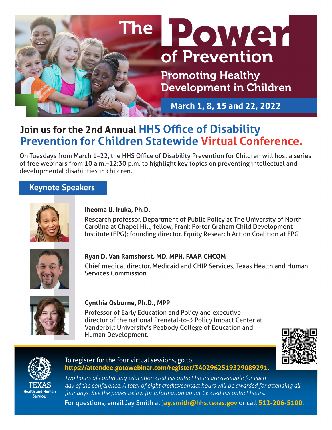

# **Join us for the 2nd Annual HHS Office of Disability Prevention for Children Statewide Virtual Conference.**

On Tuesdays from March 1–22, the HHS Office of Disability Prevention for Children will host a series of free webinars from 10 a.m.–12:30 p.m. to highlight key topics on preventing intellectual and developmental disabilities in children.

## **Keynote Speakers**



## **Iheoma U. Iruka, Ph.D.**

Research professor, Department of Public Policy at The University of North Carolina at Chapel Hill; fellow, Frank Porter Graham Child Development Institute (FPG); founding director, Equity Research Action Coalition at FPG



## **Ryan D. Van Ramshorst, MD, MPH, FAAP, CHCQM**

Chief medical director, Medicaid and CHIP Services, Texas Health and Human Services Commission



## **Cynthia Osborne, Ph.D., MPP**

Professor of Early Education and Policy and executive director of the national Prenatal-to-3 Policy Impact Center at Vanderbilt University's Peabody College of Education and Human Development.





**Health and Human Services** 

#### To register for the four virtual sessions, go to **<https://attendee.gotowebinar.com/register/3402962519329089291>**.

*Two hours of continuing education credits/contact hours are available for each* day of the conference. A total of eight credits/contact hours will be awarded for attending all *four days. See the pages below for information about CE credits/contact hours.*

For questions, email Jay Smith at **[jay.smith@hhs.texas.gov](mailto:jay.smith%40hhs.texas.gov?subject=)** or call **512-206-5100**.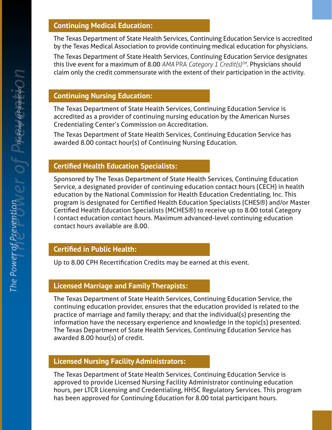## **Continuing Medical Education:**

The Texas Department of State Health Services, Continuing Education Service is accredited by the Texas Medical Association to provide continuing medical education for physicians.

The Texas Department of State Health Services, Continuing Education Service designates this live event for a maximum of 8.00 *AMA* PRA *Category 1 Credit(s)TM*. Physicians should claim only the credit commensurate with the extent of their participation in the activity.

## **Continuing Nursing Education:**

The Texas Department of State Health Services, Continuing Education Service is accredited as a provider of continuing nursing education by the American Nurses Credentialing Center's Commission on Accreditation.

The Texas Department of State Health Services, Continuing Education Service has awarded 8.00 contact hour(s) of Continuing Nursing Education.

## **Certified Health Education Specialists:**

Sponsored by The Texas Department of State Health Services, Continuing Education Service, a designated provider of continuing education contact hours (CECH) in health education by the National Commission for Health Education Credentialing, Inc. This program is designated for Certified Health Education Specialists (CHES®) and/or Master Certified Health Education Specialists (MCHES®) to receive up to 8.00 total Category I contact education contact hours. Maximum advanced-level continuing education contact hours available are 8.00.

## **Certified in Public Health:**

Up to 8.00 CPH Recertification Credits may be earned at this event.

## **Licensed Marriage and Family Therapists:**

The Texas Department of State Health Services, Continuing Education Service, the continuing education provider, ensures that the education provided is related to the practice of marriage and family therapy; and that the individual(s) presenting the information have the necessary experience and knowledge in the topic(s) presented. The Texas Department of State Health Services, Continuing Education Service has awarded 8.00 hour(s) of credit.

## **Licensed Nursing Facility Administrators:**

The Texas Department of State Health Services, Continuing Education Service is approved to provide Licensed Nursing Facility Administrator continuing education hours, per LTCR Licensing and Credentialing, HHSC Regulatory Services. This program has been approved for Continuing Education for 8.00 total participant hours.